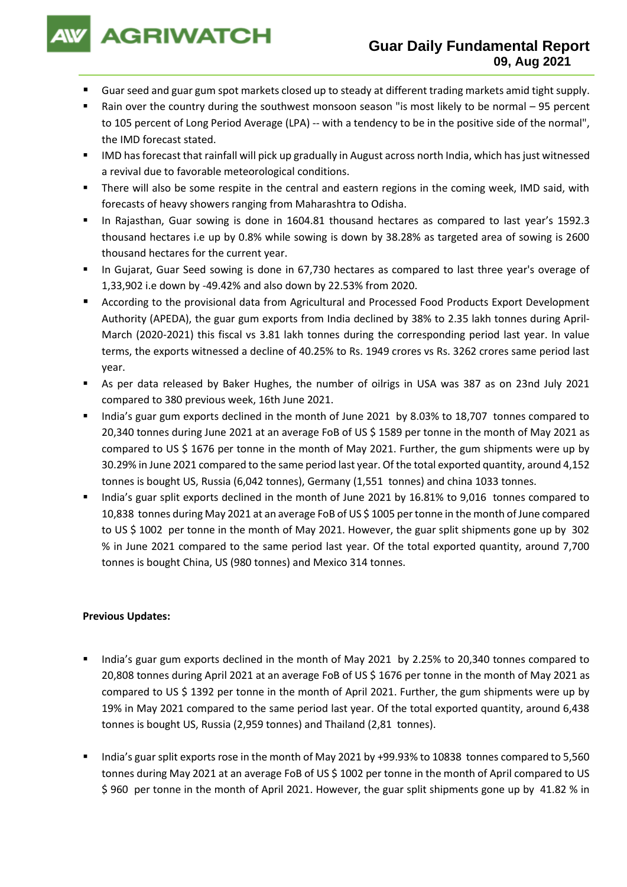

- Guar seed and guar gum spot markets closed up to steady at different trading markets amid tight supply.
- Rain over the country during the southwest monsoon season "is most likely to be normal 95 percent to 105 percent of Long Period Average (LPA) -- with a tendency to be in the positive side of the normal", the IMD forecast stated.
- IMD has forecast that rainfall will pick up gradually in August across north India, which has just witnessed a revival due to favorable meteorological conditions.
- There will also be some respite in the central and eastern regions in the coming week, IMD said, with forecasts of heavy showers ranging from Maharashtra to Odisha.
- In Rajasthan, Guar sowing is done in 1604.81 thousand hectares as compared to last year's 1592.3 thousand hectares i.e up by 0.8% while sowing is down by 38.28% as targeted area of sowing is 2600 thousand hectares for the current year.
- In Gujarat, Guar Seed sowing is done in 67,730 hectares as compared to last three year's overage of 1,33,902 i.e down by -49.42% and also down by 22.53% from 2020.
- According to the provisional data from Agricultural and Processed Food Products Export Development Authority (APEDA), the guar gum exports from India declined by 38% to 2.35 lakh tonnes during April-March (2020-2021) this fiscal vs 3.81 lakh tonnes during the corresponding period last year. In value terms, the exports witnessed a decline of 40.25% to Rs. 1949 crores vs Rs. 3262 crores same period last year.
- As per data released by Baker Hughes, the number of oilrigs in USA was 387 as on 23nd July 2021 compared to 380 previous week, 16th June 2021.
- India's guar gum exports declined in the month of June 2021 by 8.03% to 18,707 tonnes compared to 20,340 tonnes during June 2021 at an average FoB of US \$ 1589 per tonne in the month of May 2021 as compared to US \$ 1676 per tonne in the month of May 2021. Further, the gum shipments were up by 30.29% in June 2021 compared to the same period last year. Of the total exported quantity, around 4,152 tonnes is bought US, Russia (6,042 tonnes), Germany (1,551 tonnes) and china 1033 tonnes.
- India's guar split exports declined in the month of June 2021 by 16.81% to 9,016 tonnes compared to 10,838 tonnes during May 2021 at an average FoB of US \$ 1005 per tonne in the month of June compared to US \$ 1002 per tonne in the month of May 2021. However, the guar split shipments gone up by 302 % in June 2021 compared to the same period last year. Of the total exported quantity, around 7,700 tonnes is bought China, US (980 tonnes) and Mexico 314 tonnes.

## **Previous Updates:**

- India's guar gum exports declined in the month of May 2021 by 2.25% to 20,340 tonnes compared to 20,808 tonnes during April 2021 at an average FoB of US \$ 1676 per tonne in the month of May 2021 as compared to US \$ 1392 per tonne in the month of April 2021. Further, the gum shipments were up by 19% in May 2021 compared to the same period last year. Of the total exported quantity, around 6,438 tonnes is bought US, Russia (2,959 tonnes) and Thailand (2,81 tonnes).
- India's guar split exports rose in the month of May 2021 by +99.93% to 10838 tonnes compared to 5,560 tonnes during May 2021 at an average FoB of US \$ 1002 per tonne in the month of April compared to US \$ 960 per tonne in the month of April 2021. However, the guar split shipments gone up by 41.82 % in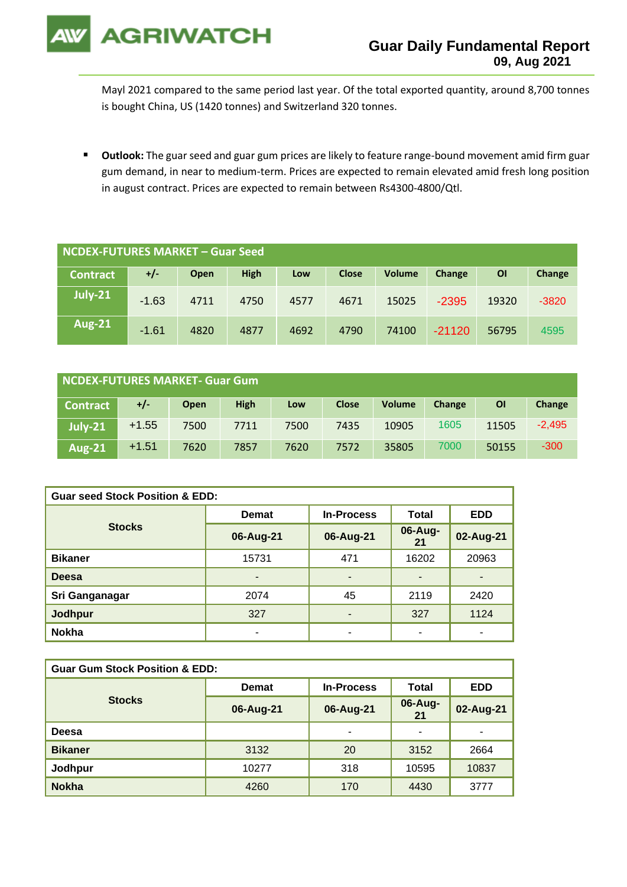

Mayl 2021 compared to the same period last year. Of the total exported quantity, around 8,700 tonnes is bought China, US (1420 tonnes) and Switzerland 320 tonnes.

■ Outlook: The guar seed and guar gum prices are likely to feature range-bound movement amid firm guar gum demand, in near to medium-term. Prices are expected to remain elevated amid fresh long position in august contract. Prices are expected to remain between Rs4300-4800/Qtl.

| <b>NCDEX-FUTURES MARKET - Guar Seed</b> |         |      |             |      |              |               |          |       |         |
|-----------------------------------------|---------|------|-------------|------|--------------|---------------|----------|-------|---------|
| <b>Contract</b>                         | $+/-$   | Open | <b>High</b> | Low  | <b>Close</b> | <b>Volume</b> | Change   | ΟI    | Change  |
| <b>July-21</b>                          | $-1.63$ | 4711 | 4750        | 4577 | 4671         | 15025         | $-2395$  | 19320 | $-3820$ |
| <b>Aug-21</b>                           | $-1.61$ | 4820 | 4877        | 4692 | 4790         | 74100         | $-21120$ | 56795 | 4595    |

| NCDEX-FUTURES MARKET- Guar Gum |         |             |             |      |              |               |        |       |          |
|--------------------------------|---------|-------------|-------------|------|--------------|---------------|--------|-------|----------|
| <b>Contract</b>                | $+/-$   | <b>Open</b> | <b>High</b> | Low  | <b>Close</b> | <b>Volume</b> | Change | ΟI    | Change   |
| July-21                        | $+1.55$ | 7500        | 7711        | 7500 | 7435         | 10905         | 1605   | 11505 | $-2,495$ |
| <b>Aug-21</b>                  | $+1.51$ | 7620        | 7857        | 7620 | 7572         | 35805         | 7000   | 50155 | $-300$   |

| <b>Guar seed Stock Position &amp; EDD:</b> |              |                          |               |            |  |  |  |
|--------------------------------------------|--------------|--------------------------|---------------|------------|--|--|--|
|                                            | <b>Demat</b> | <b>In-Process</b>        | <b>Total</b>  | <b>EDD</b> |  |  |  |
| <b>Stocks</b>                              | 06-Aug-21    | 06-Aug-21                | 06-Aug-<br>21 | 02-Aug-21  |  |  |  |
| <b>Bikaner</b>                             | 15731        | 471                      | 16202         | 20963      |  |  |  |
| <b>Deesa</b>                               | -            | ٠                        |               |            |  |  |  |
| Sri Ganganagar                             | 2074         | 45                       | 2119          | 2420       |  |  |  |
| <b>Jodhpur</b>                             | 327          | ٠                        | 327           | 1124       |  |  |  |
| <b>Nokha</b>                               |              | $\overline{\phantom{0}}$ | -             | ۰          |  |  |  |

| <b>Guar Gum Stock Position &amp; EDD:</b> |              |                   |               |                          |  |  |  |
|-------------------------------------------|--------------|-------------------|---------------|--------------------------|--|--|--|
|                                           | <b>Demat</b> | <b>In-Process</b> | Total         | <b>EDD</b>               |  |  |  |
| <b>Stocks</b>                             | 06-Aug-21    | 06-Aug-21         | 06-Aug-<br>21 | 02-Aug-21                |  |  |  |
| Deesa                                     |              | ۰                 | -             | $\overline{\phantom{a}}$ |  |  |  |
| <b>Bikaner</b>                            | 3132         | 20                | 3152          | 2664                     |  |  |  |
| Jodhpur                                   | 10277        | 318               | 10595         | 10837                    |  |  |  |
| <b>Nokha</b>                              | 4260         | 170               | 4430          | 3777                     |  |  |  |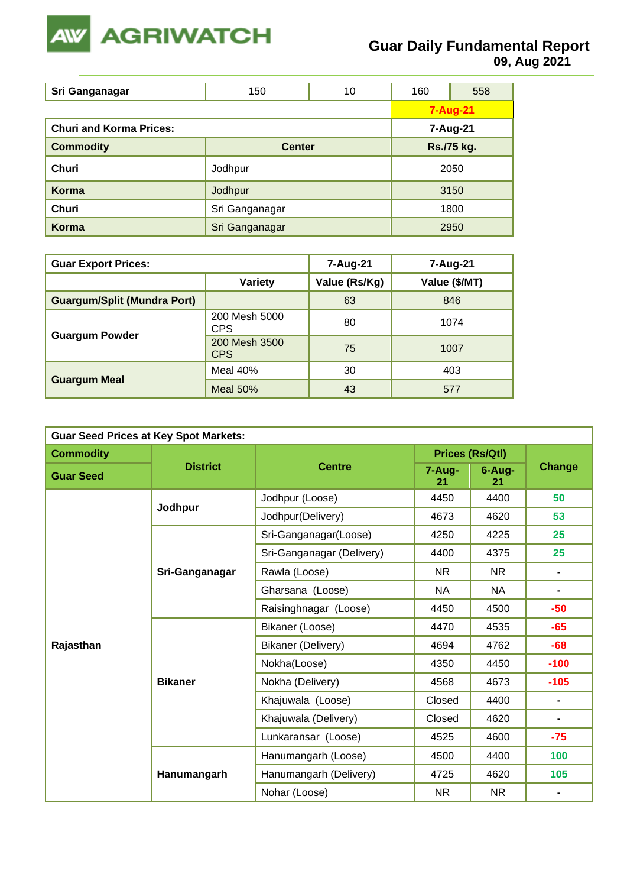

**09, Aug 2021**

| Sri Ganganagar                 | 150            | 10       | 160        | 558             |  |      |
|--------------------------------|----------------|----------|------------|-----------------|--|------|
|                                |                |          |            | <b>7-Aug-21</b> |  |      |
| <b>Churi and Korma Prices:</b> |                | 7-Aug-21 |            |                 |  |      |
| <b>Commodity</b>               | <b>Center</b>  |          | Rs./75 kg. |                 |  |      |
| Churi                          | Jodhpur        |          |            | 2050            |  |      |
| Korma                          | Jodhpur        |          |            |                 |  | 3150 |
| <b>Churi</b>                   | Sri Ganganagar |          |            | 1800            |  |      |
| Korma                          | Sri Ganganagar |          |            | 2950            |  |      |

| <b>Guar Export Prices:</b>         |                             | 7-Aug-21      | 7-Aug-21      |
|------------------------------------|-----------------------------|---------------|---------------|
|                                    | Variety                     | Value (Rs/Kg) | Value (\$/MT) |
| <b>Guargum/Split (Mundra Port)</b> |                             | 63            | 846           |
|                                    | 200 Mesh 5000<br><b>CPS</b> | 80            | 1074          |
| <b>Guargum Powder</b>              | 200 Mesh 3500<br><b>CPS</b> | 75            | 1007          |
|                                    | Meal $40%$                  | 30            | 403           |
| <b>Guargum Meal</b>                | <b>Meal 50%</b>             | 43            | 577           |

| <b>Guar Seed Prices at Key Spot Markets:</b> |                 |                           |                        |              |               |  |  |
|----------------------------------------------|-----------------|---------------------------|------------------------|--------------|---------------|--|--|
| <b>Commodity</b>                             |                 |                           | <b>Prices (Rs/Qtl)</b> |              |               |  |  |
| <b>Guar Seed</b>                             | <b>District</b> | <b>Centre</b>             | 7-Aug-<br>21           | 6-Aug-<br>21 | <b>Change</b> |  |  |
|                                              | Jodhpur         | Jodhpur (Loose)           | 4450                   | 4400         | 50            |  |  |
|                                              |                 | Jodhpur(Delivery)         | 4673                   | 4620         | 53            |  |  |
|                                              |                 | Sri-Ganganagar(Loose)     | 4250                   | 4225         | 25            |  |  |
|                                              |                 | Sri-Ganganagar (Delivery) | 4400                   | 4375         | 25            |  |  |
|                                              | Sri-Ganganagar  | Rawla (Loose)             | NR.                    | NR.          |               |  |  |
|                                              |                 | Gharsana (Loose)          | <b>NA</b>              | <b>NA</b>    |               |  |  |
|                                              |                 | Raisinghnagar (Loose)     | 4450                   | 4500         | $-50$         |  |  |
|                                              | <b>Bikaner</b>  | Bikaner (Loose)           | 4470                   | 4535         | $-65$         |  |  |
| Rajasthan                                    |                 | Bikaner (Delivery)        | 4694                   | 4762         | $-68$         |  |  |
|                                              |                 | Nokha(Loose)              | 4350                   | 4450         | $-100$        |  |  |
|                                              |                 | Nokha (Delivery)          | 4568                   | 4673         | $-105$        |  |  |
|                                              |                 | Khajuwala (Loose)         | Closed                 | 4400         |               |  |  |
|                                              |                 | Khajuwala (Delivery)      | Closed                 | 4620         | -             |  |  |
|                                              |                 | Lunkaransar (Loose)       | 4525                   | 4600         | $-75$         |  |  |
|                                              |                 | Hanumangarh (Loose)       | 4500                   | 4400         | 100           |  |  |
|                                              | Hanumangarh     | Hanumangarh (Delivery)    | 4725                   | 4620         | 105           |  |  |
|                                              |                 | Nohar (Loose)             | <b>NR</b>              | <b>NR</b>    |               |  |  |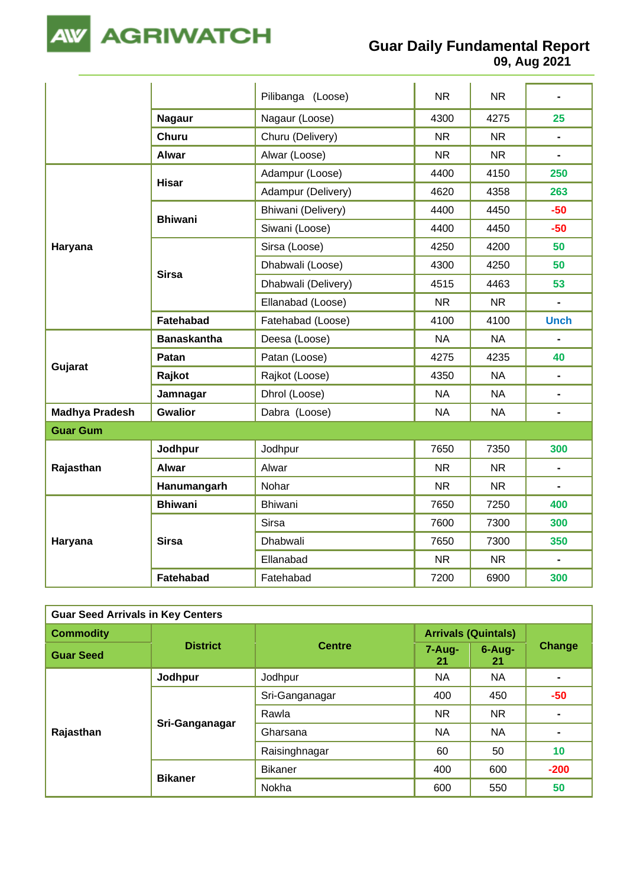

**AGRIWATCH** 

**09, Aug 2021**

|                       |                    | Pilibanga (Loose)   | <b>NR</b> | <b>NR</b> | $\blacksquare$               |
|-----------------------|--------------------|---------------------|-----------|-----------|------------------------------|
|                       | <b>Nagaur</b>      | Nagaur (Loose)      | 4300      | 4275      | 25                           |
|                       | <b>Churu</b>       | Churu (Delivery)    | <b>NR</b> | <b>NR</b> | $\blacksquare$               |
|                       | <b>Alwar</b>       | Alwar (Loose)       | <b>NR</b> | <b>NR</b> |                              |
|                       |                    | Adampur (Loose)     | 4400      | 4150      | 250                          |
|                       | <b>Hisar</b>       | Adampur (Delivery)  | 4620      | 4358      | 263                          |
|                       | <b>Bhiwani</b>     | Bhiwani (Delivery)  | 4400      | 4450      | $-50$                        |
|                       |                    | Siwani (Loose)      | 4400      | 4450      | $-50$                        |
| Haryana               |                    | Sirsa (Loose)       | 4250      | 4200      | 50                           |
|                       |                    | Dhabwali (Loose)    | 4300      | 4250      | 50                           |
|                       | <b>Sirsa</b>       | Dhabwali (Delivery) | 4515      | 4463      | 53                           |
|                       |                    | Ellanabad (Loose)   | <b>NR</b> | <b>NR</b> | L.                           |
|                       | Fatehabad          | Fatehabad (Loose)   | 4100      | 4100      | <b>Unch</b>                  |
| Gujarat               | <b>Banaskantha</b> | Deesa (Loose)       | <b>NA</b> | <b>NA</b> |                              |
|                       | Patan              | Patan (Loose)       | 4275      | 4235      | 40                           |
|                       | Rajkot             | Rajkot (Loose)      | 4350      | <b>NA</b> | $\blacksquare$               |
|                       | Jamnagar           | Dhrol (Loose)       | <b>NA</b> | <b>NA</b> | $\blacksquare$               |
| <b>Madhya Pradesh</b> | <b>Gwalior</b>     | Dabra (Loose)       | <b>NA</b> | <b>NA</b> | $\qquad \qquad \blacksquare$ |
| <b>Guar Gum</b>       |                    |                     |           |           |                              |
|                       | Jodhpur            | Jodhpur             | 7650      | 7350      | 300                          |
| Rajasthan             | <b>Alwar</b>       | Alwar               | <b>NR</b> | <b>NR</b> | ۰                            |
|                       | Hanumangarh        | Nohar               | <b>NR</b> | <b>NR</b> |                              |
|                       | <b>Bhiwani</b>     | <b>Bhiwani</b>      | 7650      | 7250      | 400                          |
|                       |                    | <b>Sirsa</b>        | 7600      | 7300      | 300                          |
| Haryana               | <b>Sirsa</b>       | Dhabwali            | 7650      | 7300      | 350                          |
|                       |                    | Ellanabad           | <b>NR</b> | <b>NR</b> | $\frac{1}{2}$                |
|                       | Fatehabad          | Fatehabad           | 7200      | 6900      | 300                          |

| <b>Guar Seed Arrivals in Key Centers</b> |                 |                |                            |              |        |  |  |
|------------------------------------------|-----------------|----------------|----------------------------|--------------|--------|--|--|
| <b>Commodity</b>                         | <b>District</b> | <b>Centre</b>  | <b>Arrivals (Quintals)</b> |              |        |  |  |
| <b>Guar Seed</b>                         |                 |                | $7 - Aug-$<br>21           | 6-Aug-<br>21 | Change |  |  |
|                                          | Jodhpur         | Jodhpur        | <b>NA</b>                  | NA           |        |  |  |
|                                          | Sri-Ganganagar  | Sri-Ganganagar | 400                        | 450          | $-50$  |  |  |
|                                          |                 | Rawla          | NR.                        | NR.          |        |  |  |
| Rajasthan                                |                 | Gharsana       | <b>NA</b>                  | NA           |        |  |  |
|                                          |                 | Raisinghnagar  | 60                         | 50           | 10     |  |  |
|                                          | <b>Bikaner</b>  | <b>Bikaner</b> | 400                        | 600          | $-200$ |  |  |
|                                          |                 | Nokha          | 600                        | 550          | 50     |  |  |